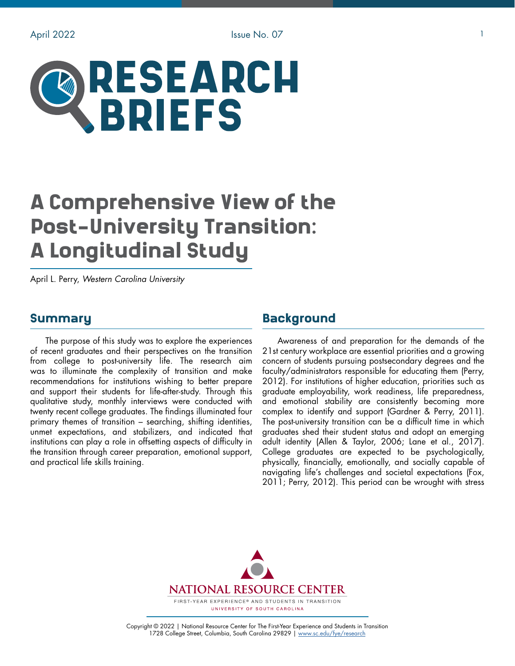# RESEARCH **BRIEFS**

# A Comprehensive View of the Post-University Transition: A Longitudinal Study

April L. Perry, *Western Carolina University*

#### Summary

The purpose of this study was to explore the experiences of recent graduates and their perspectives on the transition from college to post-university life. The research aim was to illuminate the complexity of transition and make recommendations for institutions wishing to better prepare and support their students for life-after-study. Through this qualitative study, monthly interviews were conducted with twenty recent college graduates. The findings illuminated four primary themes of transition – searching, shifting identities, unmet expectations, and stabilizers, and indicated that institutions can play a role in offsetting aspects of difficulty in the transition through career preparation, emotional support, and practical life skills training.

# **Background**

Awareness of and preparation for the demands of the 21st century workplace are essential priorities and a growing concern of students pursuing postsecondary degrees and the faculty/administrators responsible for educating them (Perry, 2012). For institutions of higher education, priorities such as graduate employability, work readiness, life preparedness, and emotional stability are consistently becoming more complex to identify and support (Gardner & Perry, 2011). The post-university transition can be a difficult time in which graduates shed their student status and adopt an emerging adult identity (Allen & Taylor, 2006; Lane et al., 2017). College graduates are expected to be psychologically, physically, financially, emotionally, and socially capable of navigating life's challenges and societal expectations (Fox, 2011; Perry, 2012). This period can be wrought with stress



Copyright © 2022 | National Resource Center for The First-Year Experience and Students in Transition 1728 College Street, Columbia, South Carolina 29829 | [www.sc.edu/fye/research](https://sc.edu/about/offices_and_divisions/national_resource_center/research/index.php)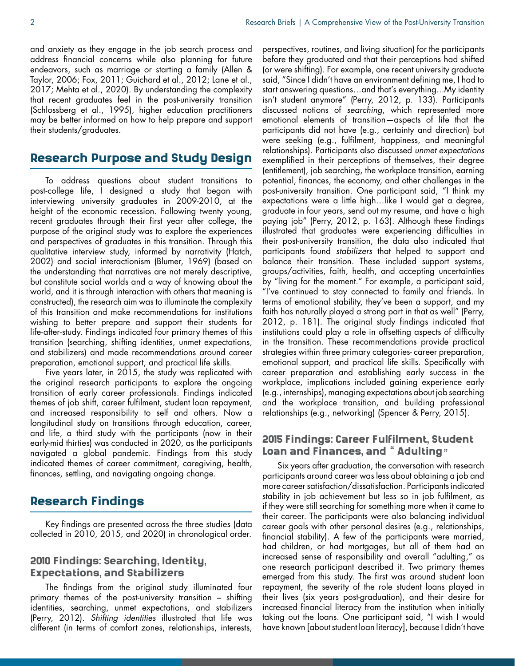and anxiety as they engage in the job search process and address financial concerns while also planning for future endeavors, such as marriage or starting a family (Allen & Taylor, 2006; Fox, 2011; Guichard et al., 2012; Lane et al., 2017; Mehta et al., 2020). By understanding the complexity that recent graduates feel in the post-university transition (Schlossberg et al., 1995), higher education practitioners may be better informed on how to help prepare and support their students/graduates.

# Research Purpose and Study Design

To address questions about student transitions to post-college life, I designed a study that began with interviewing university graduates in 2009-2010, at the height of the economic recession. Following twenty young, recent graduates through their first year after college, the purpose of the original study was to explore the experiences and perspectives of graduates in this transition. Through this qualitative interview study, informed by narrativity (Hatch, 2002) and social interactionism (Blumer, 1969) (based on the understanding that narratives are not merely descriptive, but constitute social worlds and a way of knowing about the world, and it is through interaction with others that meaning is constructed), the research aim was to illuminate the complexity of this transition and make recommendations for institutions wishing to better prepare and support their students for life-after-study. Findings indicated four primary themes of this transition (searching, shifting identities, unmet expectations, and stabilizers) and made recommendations around career preparation, emotional support, and practical life skills.

Five years later, in 2015, the study was replicated with the original research participants to explore the ongoing transition of early career professionals. Findings indicated themes of job shift, career fulfilment, student loan repayment, and increased responsibility to self and others. Now a longitudinal study on transitions through education, career, and life, a third study with the participants (now in their early-mid thirties) was conducted in 2020, as the participants navigated a global pandemic. Findings from this study indicated themes of career commitment, caregiving, health, finances, settling, and navigating ongoing change.

#### Research Findings

Key findings are presented across the three studies (data collected in 2010, 2015, and 2020) in chronological order.

#### 2010 Findings: Searching, Identity, Expectations, and Stabilizers

The findings from the original study illuminated four primary themes of the post-university transition – shifting identities, searching, unmet expectations, and stabilizers (Perry, 2012). *Shifting identities* illustrated that life was different (in terms of comfort zones, relationships, interests,

perspectives, routines, and living situation) for the participants before they graduated and that their perceptions had shifted (or were shifting). For example, one recent university graduate said, "Since I didn't have an environment defining me, I had to start answering questions…and that's everything...My identity isn't student anymore" (Perry, 2012, p. 133). Participants discussed notions of *searching*, which represented more emotional elements of transition—aspects of life that the participants did not have (e.g., certainty and direction) but were seeking (e.g., fulfilment, happiness, and meaningful relationships). Participants also discussed *unmet expectations*  exemplified in their perceptions of themselves, their degree (entitlement), job searching, the workplace transition, earning potential, finances, the economy, and other challenges in the post-university transition. One participant said, "I think my expectations were a little high…like I would get a degree, graduate in four years, send out my resume, and have a high paying job" (Perry, 2012, p. 163). Although these findings illustrated that graduates were experiencing difficulties in their post-university transition, the data also indicated that participants found *stabilizers* that helped to support and balance their transition. These included support systems, groups/activities, faith, health, and accepting uncertainties by "living for the moment." For example, a participant said, "I've continued to stay connected to family and friends. In terms of emotional stability, they've been a support, and my faith has naturally played a strong part in that as well" (Perry, 2012, p. 181). The original study findings indicated that institutions could play a role in offsetting aspects of difficulty in the transition. These recommendations provide practical strategies within three primary categories- career preparation, emotional support, and practical life skills. Specifically with career preparation and establishing early success in the workplace, implications included gaining experience early (e.g., internships), managing expectations about job searching and the workplace transition, and building professional relationships (e.g., networking) (Spencer & Perry, 2015).

#### 2015 Findings: Career Fulfilment, Student Loan and Finances, and "Adulting"

Six years after graduation, the conversation with research participants around career was less about obtaining a job and more career satisfaction/dissatisfaction. Participants indicated stability in job achievement but less so in job fulfilment, as if they were still searching for something more when it came to their career. The participants were also balancing individual career goals with other personal desires (e.g., relationships, financial stability). A few of the participants were married, had children, or had mortgages, but all of them had an increased sense of responsibility and overall "adulting," as one research participant described it. Two primary themes emerged from this study. The first was around student loan repayment, the severity of the role student loans played in their lives (six years post-graduation), and their desire for increased financial literacy from the institution when initially taking out the loans. One participant said, "I wish I would have known [about student loan literacy], because I didn't have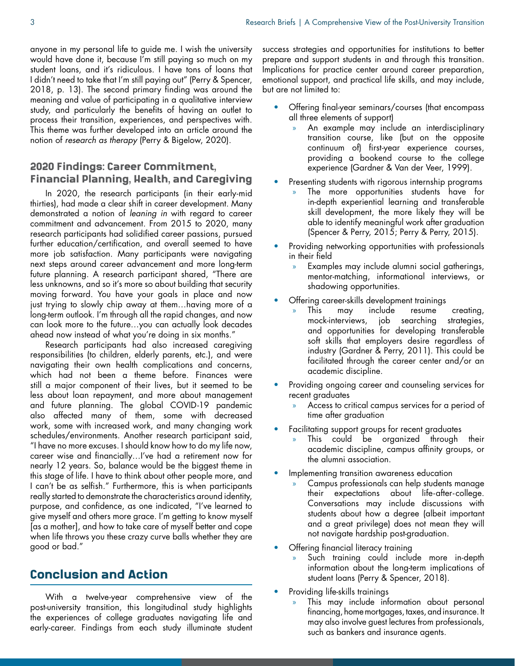anyone in my personal life to guide me. I wish the university would have done it, because I'm still paying so much on my student loans, and it's ridiculous. I have tons of loans that I didn't need to take that I'm still paying out" (Perry & Spencer, 2018, p. 13). The second primary finding was around the meaning and value of participating in a qualitative interview study, and particularly the benefits of having an outlet to process their transition, experiences, and perspectives with. This theme was further developed into an article around the notion of *research as therapy* (Perry & Bigelow, 2020).

#### 2020 Findings: Career Commitment, Financial Planning, Health, and Caregiving

In 2020, the research participants (in their early-mid thirties), had made a clear shift in career development. Many demonstrated a notion of *leaning in* with regard to career commitment and advancement. From 2015 to 2020, many research participants had solidified career passions, pursued further education/certification, and overall seemed to have more job satisfaction. Many participants were navigating next steps around career advancement and more long-term future planning. A research participant shared, "There are less unknowns, and so it's more so about building that security moving forward. You have your goals in place and now just trying to slowly chip away at them…having more of a long-term outlook. I'm through all the rapid changes, and now can look more to the future…you can actually look decades ahead now instead of what you're doing in six months."

Research participants had also increased caregiving responsibilities (to children, elderly parents, etc.), and were navigating their own health complications and concerns, which had not been a theme before. Finances were still a major component of their lives, but it seemed to be less about loan repayment, and more about management and future planning. The global COVID-19 pandemic also affected many of them, some with decreased work, some with increased work, and many changing work schedules/environments. Another research participant said, "I have no more excuses. I should know how to do my life now, career wise and financially…I've had a retirement now for nearly 12 years. So, balance would be the biggest theme in this stage of life. I have to think about other people more, and I can't be as selfish." Furthermore, this is when participants really started to demonstrate the characteristics around identity, purpose, and confidence, as one indicated, "I've learned to give myself and others more grace. I'm getting to know myself [as a mother], and how to take care of myself better and cope when life throws you these crazy curve balls whether they are good or bad."

# Conclusion and Action

With a twelve-year comprehensive view of the post-university transition, this longitudinal study highlights the experiences of college graduates navigating life and early-career. Findings from each study illuminate student

success strategies and opportunities for institutions to better prepare and support students in and through this transition. Implications for practice center around career preparation, emotional support, and practical life skills, and may include, but are not limited to:

- Offering final-year seminars/courses (that encompass all three elements of support)
	- » An example may include an interdisciplinary transition course, like (but on the opposite continuum of) first-year experience courses, providing a bookend course to the college experience (Gardner & Van der Veer, 1999).
- Presenting students with rigorous internship programs
	- » The more opportunities students have for in-depth experiential learning and transferable skill development, the more likely they will be able to identify meaningful work after graduation (Spencer & Perry, 2015; Perry & Perry, 2015).
- Providing networking opportunities with professionals in their field
	- » Examples may include alumni social gatherings, mentor-matching, informational interviews, or shadowing opportunities.
- Offering career-skills development trainings
	- » This may include resume creating, mock-interviews, job searching strategies, and opportunities for developing transferable soft skills that employers desire regardless of industry (Gardner & Perry, 2011). This could be facilitated through the career center and/or an academic discipline.
- Providing ongoing career and counseling services for recent graduates
	- » Access to critical campus services for a period of time after graduation
- Facilitating support groups for recent graduates
	- This could be organized through their academic discipline, campus affinity groups, or the alumni association.
- Implementing transition awareness education
	- » Campus professionals can help students manage their expectations about life-after-college. Conversations may include discussions with students about how a degree (albeit important and a great privilege) does not mean they will not navigate hardship post-graduation.
- Offering financial literacy training
	- Such training could include more in-depth information about the long-term implications of student loans (Perry & Spencer, 2018).
- Providing life-skills trainings
	- This may include information about personal financing, home mortgages, taxes, and insurance. It may also involve guest lectures from professionals, such as bankers and insurance agents.